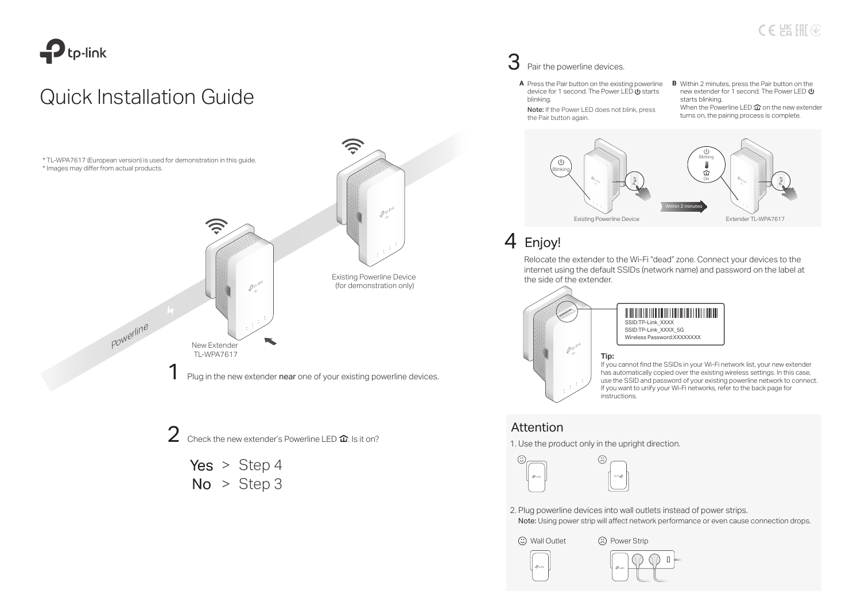

# Quick Installation Guide



2 Check the new extender's Powerline LED  $\hat{\mathbf{u}}$ . Is it on?

Yes  $>$  Step 4  $No > Step 3$ 

### 3 Pair the powerline devices.

- device for 1 second. The Power LED  $\mathbf{\dot{\theta}}$  starts blinking.
- Note: If the Power LED does not blink, press the Pair button again.
- A Press the Pair button on the existing powerline **B** Within 2 minutes, press the Pair button on the new extender for 1 second. The Power LED  $\Phi$ starts blinking. **B** Within 2 minutes, press the Pair button on the When the Powerline LED  $\mathbf{\hat{w}}$  on the new extender turns on, the pairing process is complete.



### 4 Enjoy!

Relocate the extender to the Wi-Fi "dead" zone. Connect your devices to the internet using the default SSIDs (network name) and password on the label at the side of the extender.



If you cannot find the SSIDs in your Wi-Fi network list, your new extender has automatically copied over the existing wireless settings. In this case, use the SSID and password of your existing powerline network to connect. If you want to unify your Wi-Fi networks, refer to the back page for instructions.

### Attention

1. Use the product only in the upright direction.



2. Plug powerline devices into wall outlets instead of power strips.

Note: Using power strip will affect network performance or even cause connection drops.

 $\circled{c}$  Wall Outlet  $\circled{c}$  Power Strip